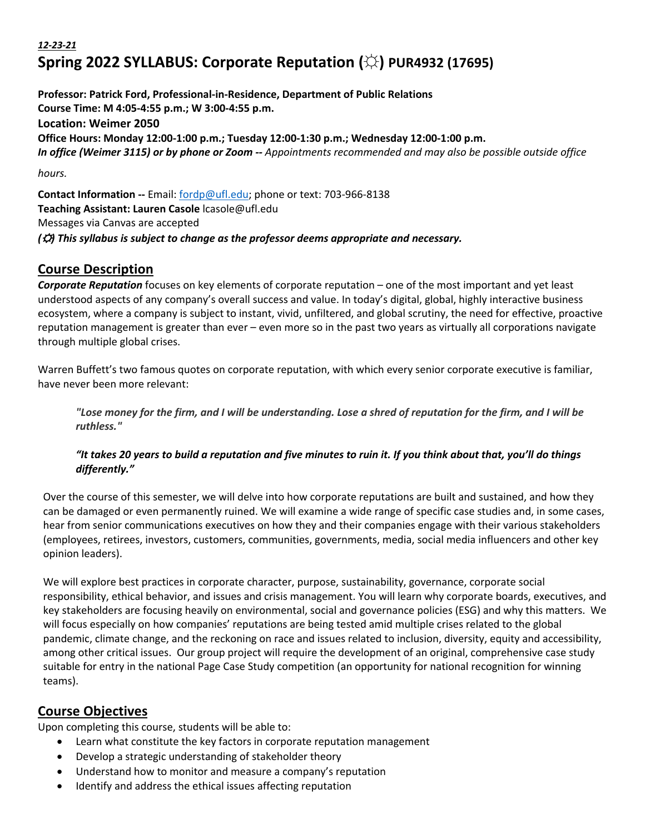# *12-23-21* **Spring 2022 SYLLABUS: Corporate Reputation (☼) PUR4932 (17695)**

**Professor: Patrick Ford, Professional-in-Residence, Department of Public Relations Course Time: M 4:05-4:55 p.m.; W 3:00-4:55 p.m. Location: Weimer 2050 Office Hours: Monday 12:00-1:00 p.m.; Tuesday 12:00-1:30 p.m.; Wednesday 12:00-1:00 p.m.** *In office (Weimer 3115) or by phone or Zoom -- Appointments recommended and may also be possible outside office hours.*

**Contact Information --** Email: fordp@ufl.edu; phone or text: 703-966-8138 **Teaching Assistant: Lauren Casole** lcasole@ufl.edu Messages via Canvas are accepted *(*☼*) This syllabus is subject to change as the professor deems appropriate and necessary.*

## **Course Description**

*Corporate Reputation* focuses on key elements of corporate reputation – one of the most important and yet least understood aspects of any company's overall success and value. In today's digital, global, highly interactive business ecosystem, where a company is subject to instant, vivid, unfiltered, and global scrutiny, the need for effective, proactive reputation management is greater than ever – even more so in the past two years as virtually all corporations navigate through multiple global crises.

Warren Buffett's two famous quotes on corporate reputation, with which every senior corporate executive is familiar, have never been more relevant:

"Lose money for the firm, and I will be understanding. Lose a shred of reputation for the firm, and I will be *ruthless."*

### *"It takes 20 years to build a reputation and five minutes to ruin it. If you think about that, you'll do things differently."*

Over the course of this semester, we will delve into how corporate reputations are built and sustained, and how they can be damaged or even permanently ruined. We will examine a wide range of specific case studies and, in some cases, hear from senior communications executives on how they and their companies engage with their various stakeholders (employees, retirees, investors, customers, communities, governments, media, social media influencers and other key opinion leaders).

We will explore best practices in corporate character, purpose, sustainability, governance, corporate social responsibility, ethical behavior, and issues and crisis management. You will learn why corporate boards, executives, and key stakeholders are focusing heavily on environmental, social and governance policies (ESG) and why this matters. We will focus especially on how companies' reputations are being tested amid multiple crises related to the global pandemic, climate change, and the reckoning on race and issues related to inclusion, diversity, equity and accessibility, among other critical issues. Our group project will require the development of an original, comprehensive case study suitable for entry in the national Page Case Study competition (an opportunity for national recognition for winning teams).

## **Course Objectives**

Upon completing this course, students will be able to:

- Learn what constitute the key factors in corporate reputation management
- Develop a strategic understanding of stakeholder theory
- Understand how to monitor and measure a company's reputation
- Identify and address the ethical issues affecting reputation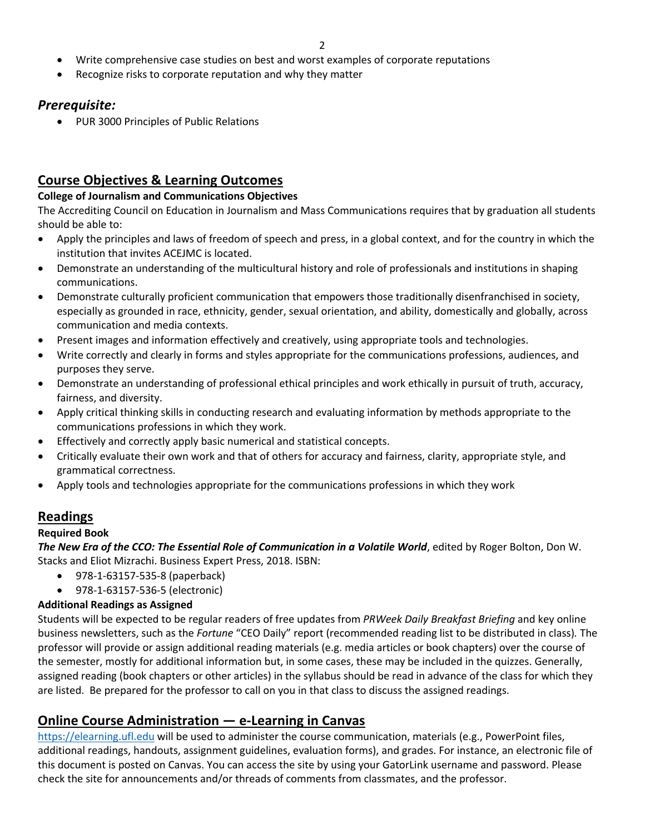- Write comprehensive case studies on best and worst examples of corporate reputations
- Recognize risks to corporate reputation and why they matter

### *Prerequisite:*

• PUR 3000 Principles of Public Relations

## **Course Objectives & Learning Outcomes**

#### **College of Journalism and Communications Objectives**

The Accrediting Council on Education in Journalism and Mass Communications requires that by graduation all students should be able to:

- Apply the principles and laws of freedom of speech and press, in a global context, and for the country in which the institution that invites ACEJMC is located.
- Demonstrate an understanding of the multicultural history and role of professionals and institutions in shaping communications.
- Demonstrate culturally proficient communication that empowers those traditionally disenfranchised in society, especially as grounded in race, ethnicity, gender, sexual orientation, and ability, domestically and globally, across communication and media contexts.
- Present images and information effectively and creatively, using appropriate tools and technologies.
- Write correctly and clearly in forms and styles appropriate for the communications professions, audiences, and purposes they serve.
- Demonstrate an understanding of professional ethical principles and work ethically in pursuit of truth, accuracy, fairness, and diversity.
- Apply critical thinking skills in conducting research and evaluating information by methods appropriate to the communications professions in which they work.
- Effectively and correctly apply basic numerical and statistical concepts.
- Critically evaluate their own work and that of others for accuracy and fairness, clarity, appropriate style, and grammatical correctness.
- Apply tools and technologies appropriate for the communications professions in which they work

## **Readings**

### **Required Book**

*The New Era of the CCO: The Essential Role of Communication in a Volatile World*, edited by Roger Bolton, Don W. Stacks and Eliot Mizrachi. Business Expert Press, 2018. ISBN:

- 978-1-63157-535-8 (paperback)
- 978-1-63157-536-5 (electronic)

### **Additional Readings as Assigned**

Students will be expected to be regular readers of free updates from *PRWeek Daily Breakfast Briefing* and key online business newsletters, such as the *Fortune* "CEO Daily" report (recommended reading list to be distributed in class)*.* The professor will provide or assign additional reading materials (e.g. media articles or book chapters) over the course of the semester, mostly for additional information but, in some cases, these may be included in the quizzes. Generally, assigned reading (book chapters or other articles) in the syllabus should be read in advance of the class for which they are listed. Be prepared for the professor to call on you in that class to discuss the assigned readings.

## **Online Course Administration — e-Learning in Canvas**

https://elearning.ufl.edu will be used to administer the course communication, materials (e.g., PowerPoint files, additional readings, handouts, assignment guidelines, evaluation forms), and grades. For instance, an electronic file of this document is posted on Canvas. You can access the site by using your GatorLink username and password. Please check the site for announcements and/or threads of comments from classmates, and the professor.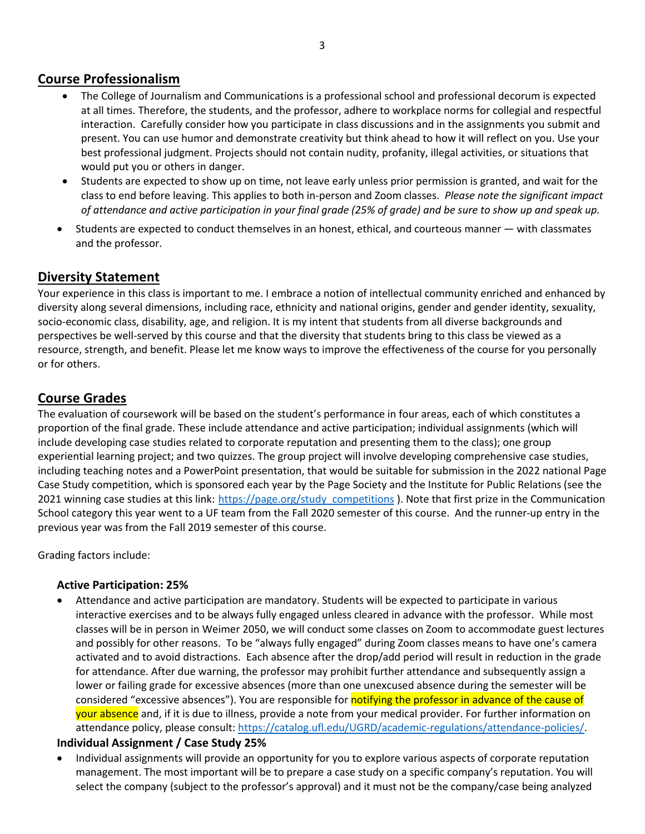## **Course Professionalism**

- The College of Journalism and Communications is a professional school and professional decorum is expected at all times. Therefore, the students, and the professor, adhere to workplace norms for collegial and respectful interaction. Carefully consider how you participate in class discussions and in the assignments you submit and present. You can use humor and demonstrate creativity but think ahead to how it will reflect on you. Use your best professional judgment. Projects should not contain nudity, profanity, illegal activities, or situations that would put you or others in danger.
- Students are expected to show up on time, not leave early unless prior permission is granted, and wait for the class to end before leaving. This applies to both in-person and Zoom classes. *Please note the significant impact of attendance and active participation in your final grade (25% of grade) and be sure to show up and speak up.*
- Students are expected to conduct themselves in an honest, ethical, and courteous manner with classmates and the professor.

## **Diversity Statement**

Your experience in this class is important to me. I embrace a notion of intellectual community enriched and enhanced by diversity along several dimensions, including race, ethnicity and national origins, gender and gender identity, sexuality, socio-economic class, disability, age, and religion. It is my intent that students from all diverse backgrounds and perspectives be well-served by this course and that the diversity that students bring to this class be viewed as a resource, strength, and benefit. Please let me know ways to improve the effectiveness of the course for you personally or for others.

## **Course Grades**

The evaluation of coursework will be based on the student's performance in four areas, each of which constitutes a proportion of the final grade. These include attendance and active participation; individual assignments (which will include developing case studies related to corporate reputation and presenting them to the class); one group experiential learning project; and two quizzes. The group project will involve developing comprehensive case studies, including teaching notes and a PowerPoint presentation, that would be suitable for submission in the 2022 national Page Case Study competition, which is sponsored each year by the Page Society and the Institute for Public Relations (see the 2021 winning case studies at this link: https://page.org/study\_competitions ). Note that first prize in the Communication School category this year went to a UF team from the Fall 2020 semester of this course. And the runner-up entry in the previous year was from the Fall 2019 semester of this course.

Grading factors include:

### **Active Participation: 25%**

• Attendance and active participation are mandatory. Students will be expected to participate in various interactive exercises and to be always fully engaged unless cleared in advance with the professor. While most classes will be in person in Weimer 2050, we will conduct some classes on Zoom to accommodate guest lectures and possibly for other reasons. To be "always fully engaged" during Zoom classes means to have one's camera activated and to avoid distractions. Each absence after the drop/add period will result in reduction in the grade for attendance. After due warning, the professor may prohibit further attendance and subsequently assign a lower or failing grade for excessive absences (more than one unexcused absence during the semester will be considered "excessive absences"). You are responsible for notifying the professor in advance of the cause of your absence and, if it is due to illness, provide a note from your medical provider. For further information on attendance policy, please consult: https://catalog.ufl.edu/UGRD/academic-regulations/attendance-policies/.

#### **Individual Assignment / Case Study 25%**

• Individual assignments will provide an opportunity for you to explore various aspects of corporate reputation management. The most important will be to prepare a case study on a specific company's reputation. You will select the company (subject to the professor's approval) and it must not be the company/case being analyzed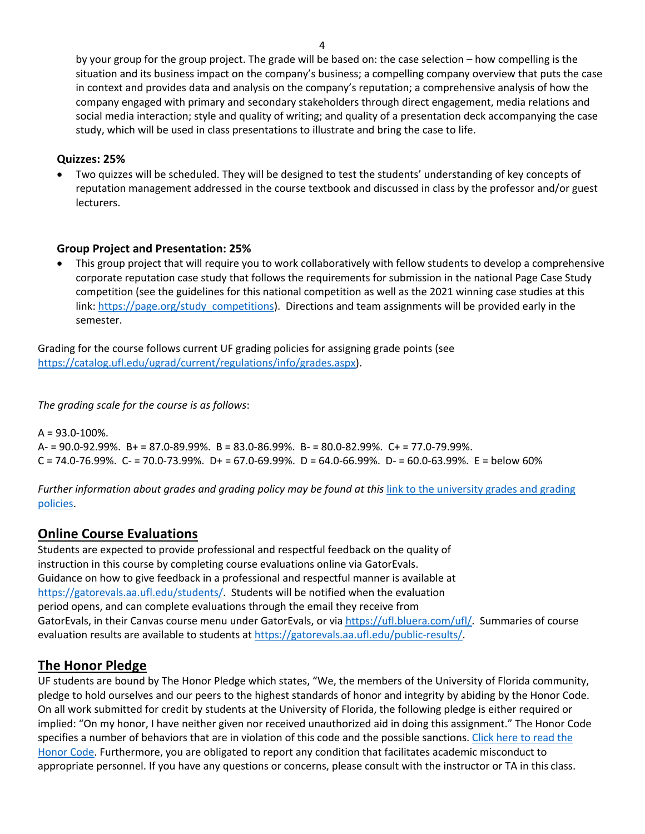by your group for the group project. The grade will be based on: the case selection – how compelling is the situation and its business impact on the company's business; a compelling company overview that puts the case in context and provides data and analysis on the company's reputation; a comprehensive analysis of how the company engaged with primary and secondary stakeholders through direct engagement, media relations and social media interaction; style and quality of writing; and quality of a presentation deck accompanying the case study, which will be used in class presentations to illustrate and bring the case to life.

#### **Quizzes: 25%**

• Two quizzes will be scheduled. They will be designed to test the students' understanding of key concepts of reputation management addressed in the course textbook and discussed in class by the professor and/or guest lecturers.

#### **Group Project and Presentation: 25%**

• This group project that will require you to work collaboratively with fellow students to develop a comprehensive corporate reputation case study that follows the requirements for submission in the national Page Case Study competition (see the guidelines for this national competition as well as the 2021 winning case studies at this link: https://page.org/study\_competitions). Directions and team assignments will be provided early in the semester.

Grading for the course follows current UF grading policies for assigning grade points (see https://catalog.ufl.edu/ugrad/current/regulations/info/grades.aspx).

#### *The grading scale for the course is as follows*:

 $A = 93.0 - 100\%$ . A- = 90.0-92.99%. B+ = 87.0-89.99%. B = 83.0-86.99%. B- = 80.0-82.99%. C+ = 77.0-79.99%.  $C = 74.0 - 76.99\%$ .  $C = 70.0 - 73.99\%$ .  $D = 67.0 - 69.99\%$ .  $D = 64.0 - 66.99\%$ .  $D = 60.0 - 63.99\%$ .  $E =$  below 60%

*Further information about grades and grading policy may be found at this* link to the university grades and grading policies.

### **Online Course Evaluations**

Students are expected to provide professional and respectful feedback on the quality of instruction in this course by completing course evaluations online via GatorEvals. Guidance on how to give feedback in a professional and respectful manner is available at https://gatorevals.aa.ufl.edu/students/. Students will be notified when the evaluation period opens, and can complete evaluations through the email they receive from GatorEvals, in their Canvas course menu under GatorEvals, or via https://ufl.bluera.com/ufl/. Summaries of course evaluation results are available to students at https://gatorevals.aa.ufl.edu/public-results/.

### **The Honor Pledge**

UF students are bound by The Honor Pledge which states, "We, the members of the University of Florida community, pledge to hold ourselves and our peers to the highest standards of honor and integrity by abiding by the Honor Code. On all work submitted for credit by students at the University of Florida, the following pledge is either required or implied: "On my honor, I have neither given nor received unauthorized aid in doing this assignment." The Honor Code specifies a number of behaviors that are in violation of this code and the possible sanctions. Click here to read the Honor Code. Furthermore, you are obligated to report any condition that facilitates academic misconduct to appropriate personnel. If you have any questions or concerns, please consult with the instructor or TA in this class.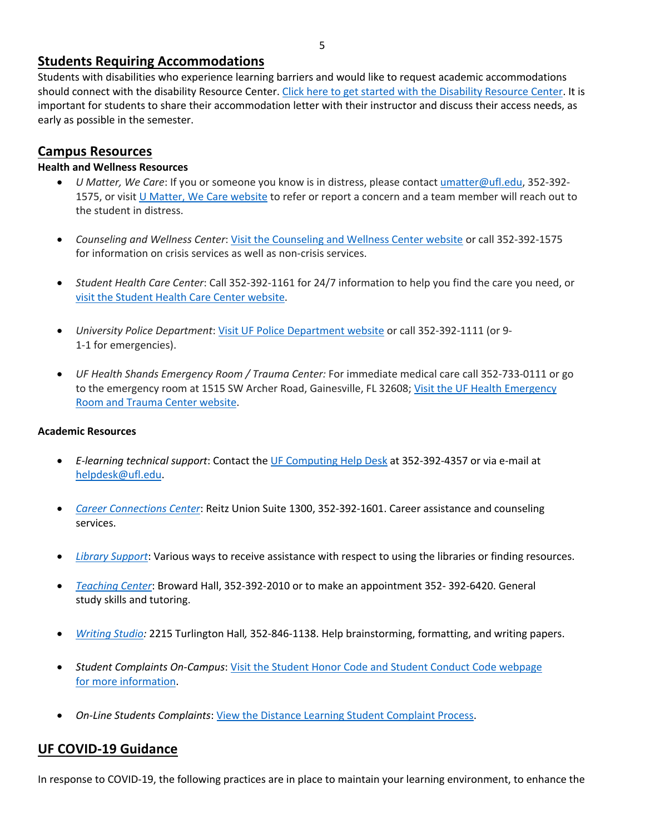### **Students Requiring Accommodations**

Students with disabilities who experience learning barriers and would like to request academic accommodations should connect with the disability Resource Center. Click here to get started with the Disability Resource Center. It is important for students to share their accommodation letter with their instructor and discuss their access needs, as early as possible in the semester.

## **Campus Resources**

### **Health and Wellness Resources**

- *U Matter, We Care*: If you or someone you know is in distress, please contact umatter@ufl.edu, 352-392- 1575, or visit U Matter, We Care website to refer or report a concern and a team member will reach out to the student in distress.
- *Counseling and Wellness Center*: Visit the Counseling and Wellness Center website or call 352-392-1575 for information on crisis services as well as non-crisis services.
- *Student Health Care Center*: Call 352-392-1161 for 24/7 information to help you find the care you need, or visit the Student Health Care Center website.
- *University Police Department*: Visit UF Police Department website or call 352-392-1111 (or 9- 1-1 for emergencies).
- *UF Health Shands Emergency Room / Trauma Center:* For immediate medical care call 352-733-0111 or go to the emergency room at 1515 SW Archer Road, Gainesville, FL 32608; Visit the UF Health Emergency Room and Trauma Center website.

### **Academic Resources**

- *E-learning technical support*: Contact the UF Computing Help Desk at 352-392-4357 or via e-mail at helpdesk@ufl.edu.
- *Career Connections Center*: Reitz Union Suite 1300, 352-392-1601. Career assistance and counseling services.
- *Library Support*: Various ways to receive assistance with respect to using the libraries or finding resources.
- *Teaching Center*: Broward Hall, 352-392-2010 or to make an appointment 352- 392-6420. General study skills and tutoring.
- *Writing Studio:* 2215 Turlington Hall*,* 352-846-1138. Help brainstorming, formatting, and writing papers.
- *Student Complaints On-Campus*: Visit the Student Honor Code and Student Conduct Code webpage for more information.
- *On-Line Students Complaints*: View the Distance Learning Student Complaint Process.

## **UF COVID-19 Guidance**

In response to COVID-19, the following practices are in place to maintain your learning environment, to enhance the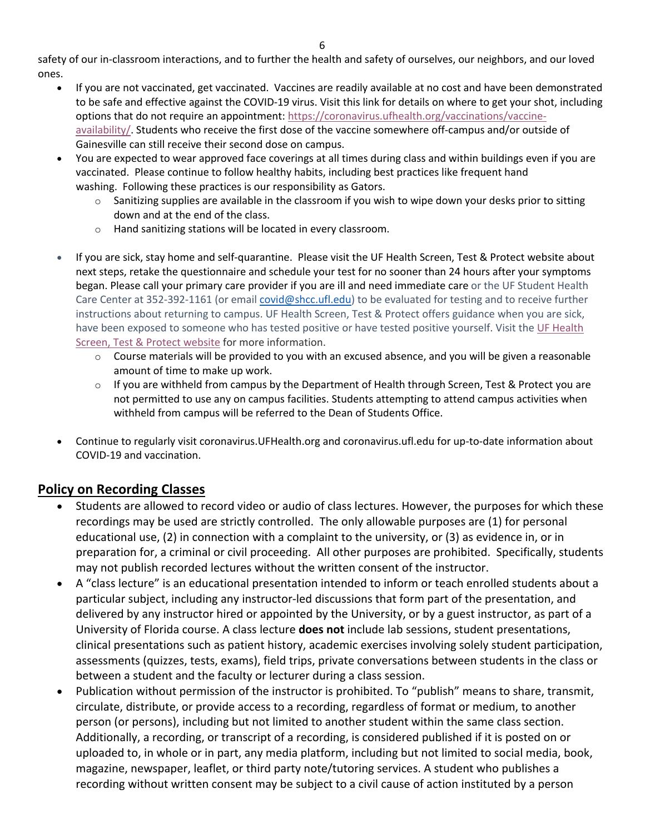safety of our in-classroom interactions, and to further the health and safety of ourselves, our neighbors, and our loved ones.

- If you are not vaccinated, get vaccinated. Vaccines are readily available at no cost and have been demonstrated to be safe and effective against the COVID-19 virus. Visit this link for details on where to get your shot, including options that do not require an appointment: https://coronavirus.ufhealth.org/vaccinations/vaccineavailability/. Students who receive the first dose of the vaccine somewhere off-campus and/or outside of Gainesville can still receive their second dose on campus.
- You are expected to wear approved face coverings at all times during class and within buildings even if you are vaccinated. Please continue to follow healthy habits, including best practices like frequent hand washing. Following these practices is our responsibility as Gators.
	- $\circ$  Sanitizing supplies are available in the classroom if you wish to wipe down your desks prior to sitting down and at the end of the class.
	- o Hand sanitizing stations will be located in every classroom.
- If you are sick, stay home and self-quarantine. Please visit the UF Health Screen, Test & Protect website about next steps, retake the questionnaire and schedule your test for no sooner than 24 hours after your symptoms began. Please call your primary care provider if you are ill and need immediate care or the UF Student Health Care Center at 352-392-1161 (or email covid@shcc.ufl.edu) to be evaluated for testing and to receive further instructions about returning to campus. UF Health Screen, Test & Protect offers guidance when you are sick, have been exposed to someone who has tested positive or have tested positive yourself. Visit the UF Health Screen, Test & Protect website for more information.
	- $\circ$  Course materials will be provided to you with an excused absence, and you will be given a reasonable amount of time to make up work.
	- $\circ$  If you are withheld from campus by the Department of Health through Screen, Test & Protect you are not permitted to use any on campus facilities. Students attempting to attend campus activities when withheld from campus will be referred to the Dean of Students Office.
- Continue to regularly visit coronavirus.UFHealth.org and coronavirus.ufl.edu for up-to-date information about COVID-19 and vaccination.

# **Policy on Recording Classes**

- Students are allowed to record video or audio of class lectures. However, the purposes for which these recordings may be used are strictly controlled. The only allowable purposes are (1) for personal educational use, (2) in connection with a complaint to the university, or (3) as evidence in, or in preparation for, a criminal or civil proceeding. All other purposes are prohibited. Specifically, students may not publish recorded lectures without the written consent of the instructor.
- A "class lecture" is an educational presentation intended to inform or teach enrolled students about a particular subject, including any instructor-led discussions that form part of the presentation, and delivered by any instructor hired or appointed by the University, or by a guest instructor, as part of a University of Florida course. A class lecture **does not** include lab sessions, student presentations, clinical presentations such as patient history, academic exercises involving solely student participation, assessments (quizzes, tests, exams), field trips, private conversations between students in the class or between a student and the faculty or lecturer during a class session.
- Publication without permission of the instructor is prohibited. To "publish" means to share, transmit, circulate, distribute, or provide access to a recording, regardless of format or medium, to another person (or persons), including but not limited to another student within the same class section. Additionally, a recording, or transcript of a recording, is considered published if it is posted on or uploaded to, in whole or in part, any media platform, including but not limited to social media, book, magazine, newspaper, leaflet, or third party note/tutoring services. A student who publishes a recording without written consent may be subject to a civil cause of action instituted by a person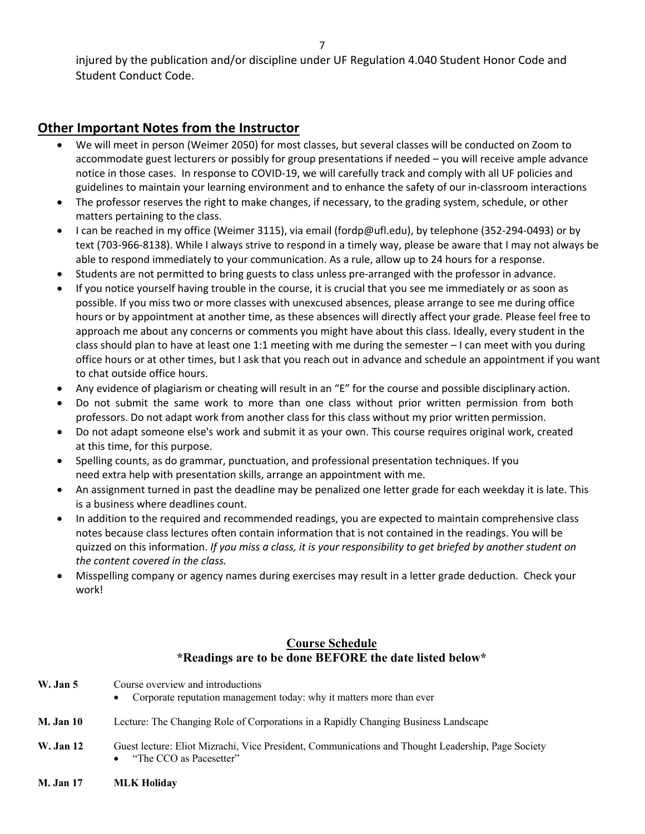injured by the publication and/or discipline under UF Regulation 4.040 Student Honor Code and Student Conduct Code.

## **Other Important Notes from the Instructor**

- We will meet in person (Weimer 2050) for most classes, but several classes will be conducted on Zoom to accommodate guest lecturers or possibly for group presentations if needed – you will receive ample advance notice in those cases. In response to COVID-19, we will carefully track and comply with all UF policies and guidelines to maintain your learning environment and to enhance the safety of our in-classroom interactions
- The professor reserves the right to make changes, if necessary, to the grading system, schedule, or other matters pertaining to the class.
- I can be reached in my office (Weimer 3115), via email (fordp@ufl.edu), by telephone (352-294-0493) or by text (703-966-8138). While I always strive to respond in a timely way, please be aware that I may not always be able to respond immediately to your communication. As a rule, allow up to 24 hours for a response.
- Students are not permitted to bring guests to class unless pre-arranged with the professor in advance.
- If you notice yourself having trouble in the course, it is crucial that you see me immediately or as soon as possible. If you miss two or more classes with unexcused absences, please arrange to see me during office hours or by appointment at another time, as these absences will directly affect your grade. Please feel free to approach me about any concerns or comments you might have about this class. Ideally, every student in the class should plan to have at least one 1:1 meeting with me during the semester – I can meet with you during office hours or at other times, but I ask that you reach out in advance and schedule an appointment if you want to chat outside office hours.
- Any evidence of plagiarism or cheating will result in an "E" for the course and possible disciplinary action.
- Do not submit the same work to more than one class without prior written permission from both professors. Do not adapt work from another class for this class without my prior written permission.
- Do not adapt someone else's work and submit it as your own. This course requires original work, created at this time, for this purpose.
- Spelling counts, as do grammar, punctuation, and professional presentation techniques. If you need extra help with presentation skills, arrange an appointment with me.
- An assignment turned in past the deadline may be penalized one letter grade for each weekday it is late. This is a business where deadlines count.
- In addition to the required and recommended readings, you are expected to maintain comprehensive class notes because class lectures often contain information that is not contained in the readings. You will be quizzed on this information. *If you miss a class, it is your responsibility to get briefed by another student on the content covered in the class.*
- Misspelling company or agency names during exercises may result in a letter grade deduction. Check your work!

### **Course Schedule \*Readings are to be done BEFORE the date listed below\***

| W. Jan 5  | Course overview and introductions<br>• Corporate reputation management today: why it matters more than ever                   |
|-----------|-------------------------------------------------------------------------------------------------------------------------------|
| M. Jan 10 | Lecture: The Changing Role of Corporations in a Rapidly Changing Business Landscape                                           |
| W. Jan 12 | Guest lecture: Eliot Mizrachi, Vice President, Communications and Thought Leadership, Page Society<br>"The CCO as Pacesetter" |

**M. Jan 17 MLK Holiday**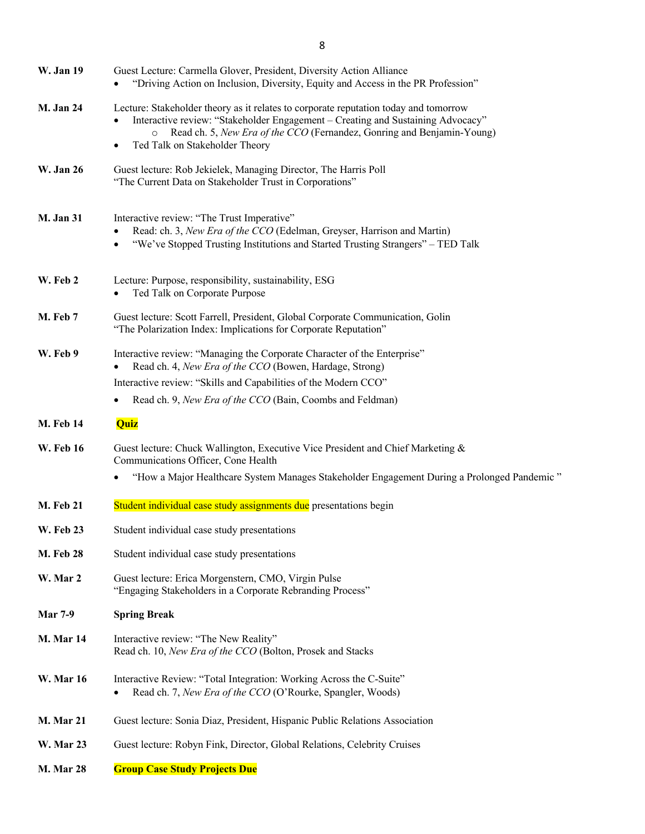| <b>W. Jan 19</b> | Guest Lecture: Carmella Glover, President, Diversity Action Alliance<br>"Driving Action on Inclusion, Diversity, Equity and Access in the PR Profession"                                                                                                                                 |
|------------------|------------------------------------------------------------------------------------------------------------------------------------------------------------------------------------------------------------------------------------------------------------------------------------------|
| <b>M. Jan 24</b> | Lecture: Stakeholder theory as it relates to corporate reputation today and tomorrow<br>Interactive review: "Stakeholder Engagement - Creating and Sustaining Advocacy"<br>Read ch. 5, New Era of the CCO (Fernandez, Gonring and Benjamin-Young)<br>Ted Talk on Stakeholder Theory<br>٠ |
| <b>W.</b> Jan 26 | Guest lecture: Rob Jekielek, Managing Director, The Harris Poll<br>"The Current Data on Stakeholder Trust in Corporations"                                                                                                                                                               |
| <b>M. Jan 31</b> | Interactive review: "The Trust Imperative"<br>Read: ch. 3, New Era of the CCO (Edelman, Greyser, Harrison and Martin)<br>"We've Stopped Trusting Institutions and Started Trusting Strangers" - TED Talk<br>$\bullet$                                                                    |
| W. Feb 2         | Lecture: Purpose, responsibility, sustainability, ESG<br>Ted Talk on Corporate Purpose                                                                                                                                                                                                   |
| M. Feb 7         | Guest lecture: Scott Farrell, President, Global Corporate Communication, Golin<br>"The Polarization Index: Implications for Corporate Reputation"                                                                                                                                        |
| W. Feb 9         | Interactive review: "Managing the Corporate Character of the Enterprise"<br>Read ch. 4, New Era of the CCO (Bowen, Hardage, Strong)<br>Interactive review: "Skills and Capabilities of the Modern CCO"<br>Read ch. 9, New Era of the CCO (Bain, Coombs and Feldman)                      |
| <b>M.</b> Feb 14 | Quiz                                                                                                                                                                                                                                                                                     |
| <b>W.</b> Feb 16 | Guest lecture: Chuck Wallington, Executive Vice President and Chief Marketing &<br>Communications Officer, Cone Health                                                                                                                                                                   |
|                  | "How a Major Healthcare System Manages Stakeholder Engagement During a Prolonged Pandemic"<br>$\bullet$                                                                                                                                                                                  |
| <b>M. Feb 21</b> | Student individual case study assignments due presentations begin                                                                                                                                                                                                                        |
| <b>W.</b> Feb 23 | Student individual case study presentations                                                                                                                                                                                                                                              |
| <b>M. Feb 28</b> | Student individual case study presentations                                                                                                                                                                                                                                              |
| W. Mar 2         | Guest lecture: Erica Morgenstern, CMO, Virgin Pulse<br>"Engaging Stakeholders in a Corporate Rebranding Process"                                                                                                                                                                         |
| <b>Mar 7-9</b>   | <b>Spring Break</b>                                                                                                                                                                                                                                                                      |
| <b>M. Mar 14</b> | Interactive review: "The New Reality"<br>Read ch. 10, New Era of the CCO (Bolton, Prosek and Stacks                                                                                                                                                                                      |
| <b>W.</b> Mar 16 | Interactive Review: "Total Integration: Working Across the C-Suite"<br>Read ch. 7, New Era of the CCO (O'Rourke, Spangler, Woods)<br>٠                                                                                                                                                   |
| <b>M. Mar 21</b> | Guest lecture: Sonia Diaz, President, Hispanic Public Relations Association                                                                                                                                                                                                              |
| <b>W. Mar 23</b> | Guest lecture: Robyn Fink, Director, Global Relations, Celebrity Cruises                                                                                                                                                                                                                 |
| <b>M. Mar 28</b> | <b>Group Case Study Projects Due</b>                                                                                                                                                                                                                                                     |